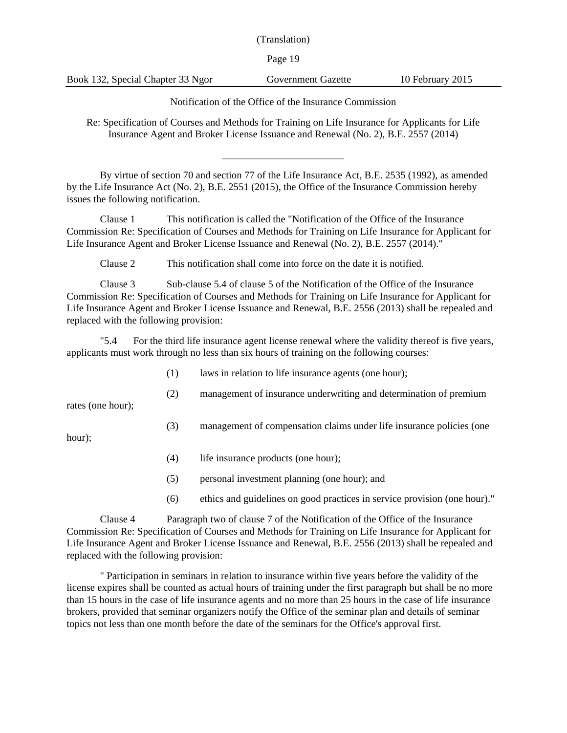(Translation)

Page 19

Book 132, Special Chapter 33 Ngor Government Gazette 10 February 2015

Notification of the Office of the Insurance Commission

Re: Specification of Courses and Methods for Training on Life Insurance for Applicants for Life Insurance Agent and Broker License Issuance and Renewal (No. 2), B.E. 2557 (2014)

\_\_\_\_\_\_\_\_\_\_\_\_\_\_\_\_\_\_\_\_\_\_\_\_

By virtue of section 70 and section 77 of the Life Insurance Act, B.E. 2535 (1992), as amended by the Life Insurance Act (No. 2), B.E. 2551 (2015), the Office of the Insurance Commission hereby issues the following notification.

Clause 1 This notification is called the "Notification of the Office of the Insurance Commission Re: Specification of Courses and Methods for Training on Life Insurance for Applicant for Life Insurance Agent and Broker License Issuance and Renewal (No. 2), B.E. 2557 (2014)."

Clause 2 This notification shall come into force on the date it is notified.

Clause 3 Sub-clause 5.4 of clause 5 of the Notification of the Office of the Insurance Commission Re: Specification of Courses and Methods for Training on Life Insurance for Applicant for Life Insurance Agent and Broker License Issuance and Renewal, B.E. 2556 (2013) shall be repealed and replaced with the following provision:

"5.4 For the third life insurance agent license renewal where the validity thereof is five years, applicants must work through no less than six hours of training on the following courses:

- (1) laws in relation to life insurance agents (one hour);
- (2) management of insurance underwriting and determination of premium

rates (one hour);

(3) management of compensation claims under life insurance policies (one

hour);

- (4) life insurance products (one hour);
- (5) personal investment planning (one hour); and
- (6) ethics and guidelines on good practices in service provision (one hour)."

Clause 4 Paragraph two of clause 7 of the Notification of the Office of the Insurance Commission Re: Specification of Courses and Methods for Training on Life Insurance for Applicant for Life Insurance Agent and Broker License Issuance and Renewal, B.E. 2556 (2013) shall be repealed and replaced with the following provision:

" Participation in seminars in relation to insurance within five years before the validity of the license expires shall be counted as actual hours of training under the first paragraph but shall be no more than 15 hours in the case of life insurance agents and no more than 25 hours in the case of life insurance brokers, provided that seminar organizers notify the Office of the seminar plan and details of seminar topics not less than one month before the date of the seminars for the Office's approval first.